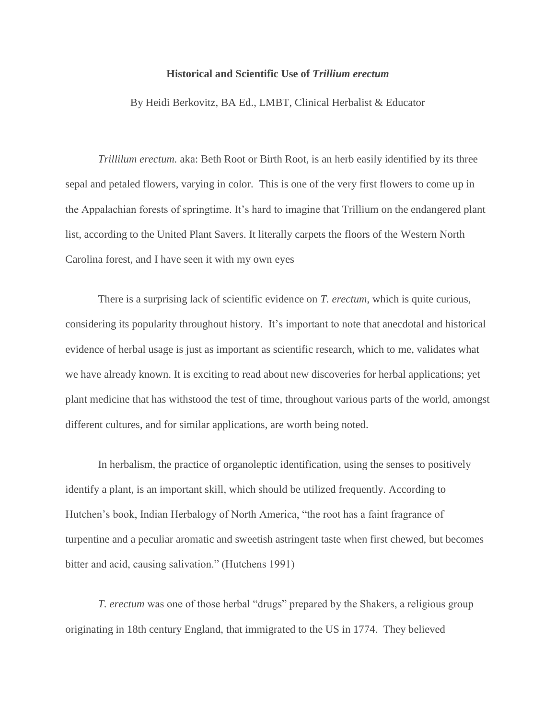## **Historical and Scientific Use of** *Trillium erectum*

By Heidi Berkovitz, BA Ed., LMBT, Clinical Herbalist & Educator

*Trillilum erectum.* aka: Beth Root or Birth Root, is an herb easily identified by its three sepal and petaled flowers, varying in color. This is one of the very first flowers to come up in the Appalachian forests of springtime. It's hard to imagine that Trillium on the endangered plant list, according to the United Plant Savers. It literally carpets the floors of the Western North Carolina forest, and I have seen it with my own eyes

There is a surprising lack of scientific evidence on *T. erectum*, which is quite curious, considering its popularity throughout history. It's important to note that anecdotal and historical evidence of herbal usage is just as important as scientific research, which to me, validates what we have already known. It is exciting to read about new discoveries for herbal applications; yet plant medicine that has withstood the test of time, throughout various parts of the world, amongst different cultures, and for similar applications, are worth being noted.

In herbalism, the practice of organoleptic identification, using the senses to positively identify a plant, is an important skill, which should be utilized frequently. According to Hutchen's book, Indian Herbalogy of North America, "the root has a faint fragrance of turpentine and a peculiar aromatic and sweetish astringent taste when first chewed, but becomes bitter and acid, causing salivation." (Hutchens 1991)

*T. erectum* was one of those herbal "drugs" prepared by the Shakers, a religious group originating in 18th century England, that immigrated to the US in 1774. They believed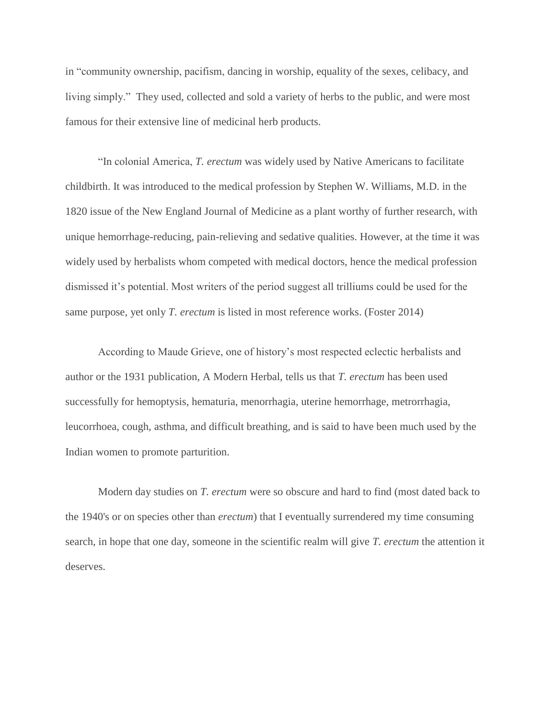in "community ownership, pacifism, dancing in worship, equality of the sexes, celibacy, and living simply." They used, collected and sold a variety of herbs to the public, and were most famous for their extensive line of medicinal herb products.

"In colonial America, *T. erectum* was widely used by Native Americans to facilitate childbirth. It was introduced to the medical profession by Stephen W. Williams, M.D. in the 1820 issue of the New England Journal of Medicine as a plant worthy of further research, with unique hemorrhage-reducing, pain-relieving and sedative qualities. However, at the time it was widely used by herbalists whom competed with medical doctors, hence the medical profession dismissed it's potential. Most writers of the period suggest all trilliums could be used for the same purpose, yet only *T. erectum* is listed in most reference works. (Foster 2014)

According to Maude Grieve, one of history's most respected eclectic herbalists and author or the 1931 publication, A Modern Herbal, tells us that *T. erectum* has been used successfully for hemoptysis, hematuria, menorrhagia, uterine hemorrhage, metrorrhagia, leucorrhoea, cough, asthma, and difficult breathing, and is said to have been much used by the Indian women to promote parturition.

Modern day studies on *T. erectum* were so obscure and hard to find (most dated back to the 1940's or on species other than *erectum*) that I eventually surrendered my time consuming search, in hope that one day, someone in the scientific realm will give *T. erectum* the attention it deserves.